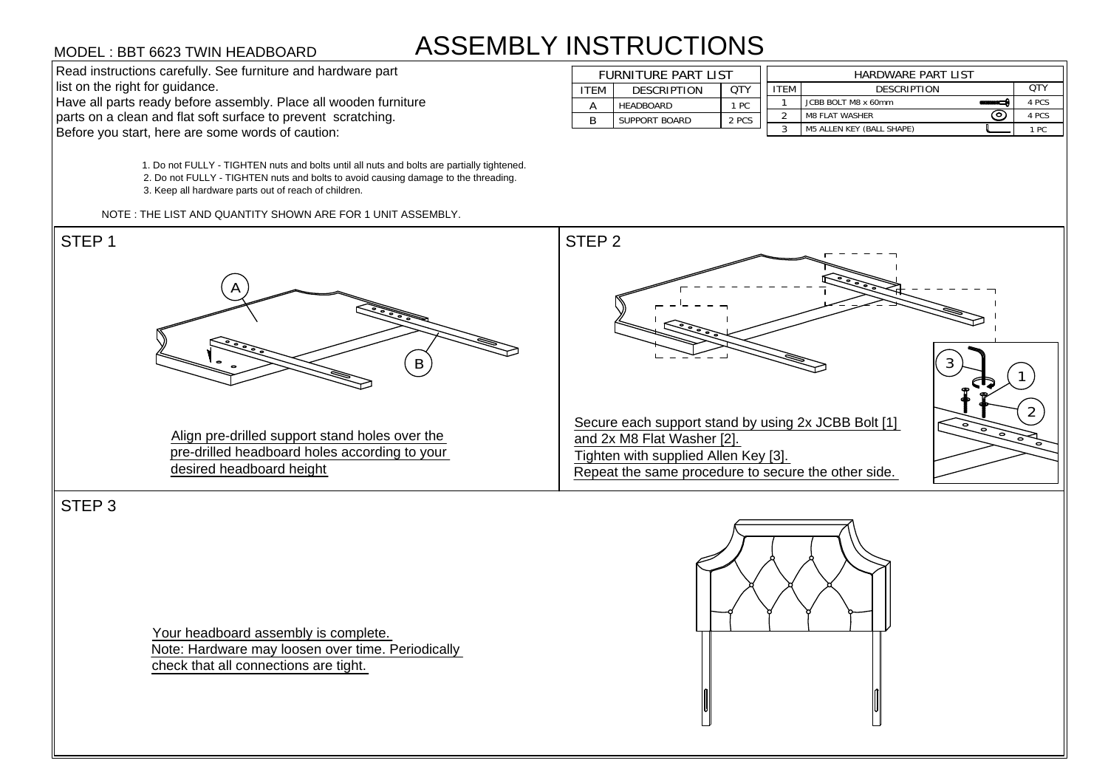# ASSEMBLY INSTRUCTIONS

1. Do not FULLY - TIGHTEN nuts and bolts until all nuts and bolts are partially tightened. 1. Do not FULLY - TIGHTEN nuts and bolts until all nuts and bolts are partially tightene<br>2. Do not FULLY - TIGHTEN nuts and bolts to avoid causing damage to the threading. 2. Do not FULLY - TIGHTEN nuts and bolts to avo<br>3. Keep all hardware parts out of reach of children. MODEL : BBT 6623 TWIN HEADBOARD<br>
Read instructions carefully. See furniture and hardware part<br>
list on the right for guidance.<br>
Have all parts ready before assembly. Place all wooden furniture<br>
parts on a clean and flat so

| <b>ASSEMBLY INSTRUCTIONS</b><br>MODEL : BBT 6623 TWIN HEADBOARD  |      |                            |            |             |                                  |  |       |  |
|------------------------------------------------------------------|------|----------------------------|------------|-------------|----------------------------------|--|-------|--|
| Read instructions carefully. See furniture and hardware part     |      | <b>FURNITURE PART LIST</b> |            |             | <b>HARDWARE PART LIST</b>        |  |       |  |
| list on the right for guidance.                                  | ITEM | <b>DESCRIPTION</b>         | <b>QTY</b> | <b>ITEM</b> | <b>DESCRIPTION</b>               |  | QTY   |  |
| Have all parts ready before assembly. Place all wooden furniture |      | HEADBOARD                  | 1 PC       |             | JCBB BOLT M8 x 60mm              |  | 4 PCS |  |
| parts on a clean and flat soft surface to prevent scratching.    |      | SUPPORT BOARD              | 2 PCS      |             | ☺<br><b>M8 FLAT WASHER</b>       |  | 4 PCS |  |
| Before you start, here are some words of caution:                |      |                            |            |             | <b>M5 ALLEN KEY (BALL SHAPE)</b> |  | 1 PC  |  |



STEP 3

Your headboard assembly is complete. Note: Hardware may loosen over time. Periodically check that all connections are tight.